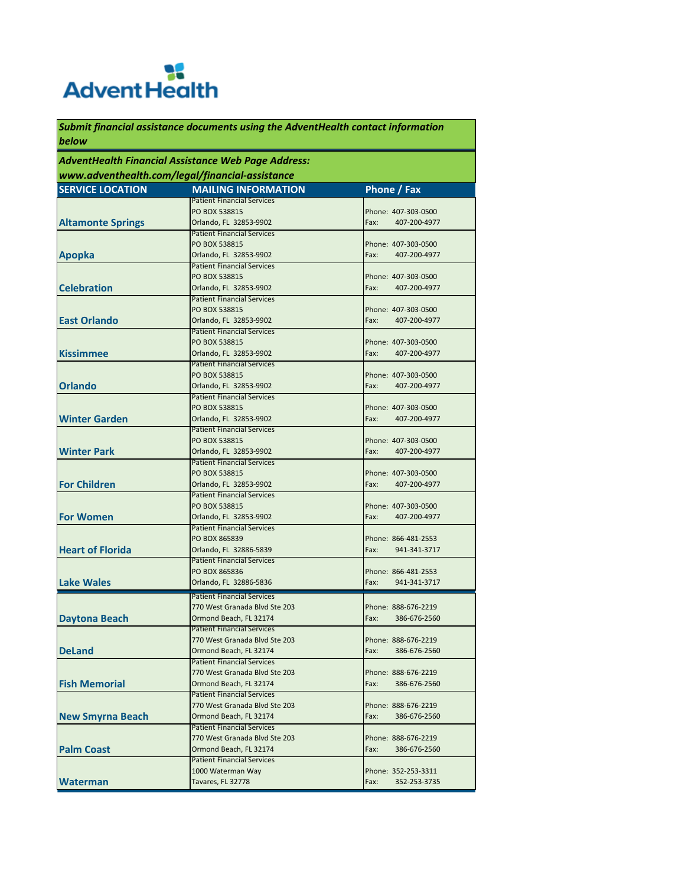# **RE**<br>Advent Health

*Submit financial assistance documents using the AdventHealth contact information below*

#### *AdventHealth Financial Assistance Web Page Address: www.adventhealth.com/legal/financial-assistance*

| <b>SERVICE LOCATION</b>  | <b>MAILING INFORMATION</b>                                  | Phone / Fax                 |
|--------------------------|-------------------------------------------------------------|-----------------------------|
|                          | <b>Patient Financial Services</b>                           |                             |
|                          | PO BOX 538815                                               | Phone: 407-303-0500         |
| <b>Altamonte Springs</b> | Orlando, FL 32853-9902                                      | Fax:<br>407-200-4977        |
|                          | <b>Patient Financial Services</b>                           |                             |
|                          | PO BOX 538815                                               | Phone: 407-303-0500         |
| <b>Apopka</b>            | Orlando, FL 32853-9902                                      | Fax:<br>407-200-4977        |
|                          | <b>Patient Financial Services</b>                           |                             |
|                          | PO BOX 538815                                               | Phone: 407-303-0500         |
| <b>Celebration</b>       | Orlando, FL 32853-9902                                      | Fax:<br>407-200-4977        |
|                          | <b>Patient Financial Services</b>                           |                             |
|                          | PO BOX 538815                                               | Phone: 407-303-0500         |
| <b>East Orlando</b>      | Orlando, FL 32853-9902                                      | Fax:<br>407-200-4977        |
|                          | <b>Patient Financial Services</b>                           |                             |
|                          | PO BOX 538815                                               | Phone: 407-303-0500         |
| <b>Kissimmee</b>         | Orlando, FL 32853-9902                                      | Fax:<br>407-200-4977        |
|                          | <b>Patient Financial Services</b>                           |                             |
|                          | PO BOX 538815                                               | Phone: 407-303-0500         |
| <b>Orlando</b>           | Orlando, FL 32853-9902                                      | Fax:<br>407-200-4977        |
|                          | <b>Patient Financial Services</b>                           |                             |
|                          | PO BOX 538815                                               | Phone: 407-303-0500         |
| <b>Winter Garden</b>     | Orlando, FL 32853-9902                                      | Fax:<br>407-200-4977        |
|                          | <b>Patient Financial Services</b>                           |                             |
|                          | PO BOX 538815                                               | Phone: 407-303-0500         |
| <b>Winter Park</b>       | Orlando, FL 32853-9902                                      | Fax:<br>407-200-4977        |
|                          | <b>Patient Financial Services</b>                           |                             |
|                          | PO BOX 538815                                               | Phone: 407-303-0500         |
| <b>For Children</b>      | Orlando, FL 32853-9902<br><b>Patient Financial Services</b> | 407-200-4977<br>Fax:        |
|                          | PO BOX 538815                                               | Phone: 407-303-0500         |
| <b>For Women</b>         | Orlando, FL 32853-9902                                      | Fax:<br>407-200-4977        |
|                          | <b>Patient Financial Services</b>                           |                             |
|                          | PO BOX 865839                                               | Phone: 866-481-2553         |
| <b>Heart of Florida</b>  | Orlando, FL 32886-5839                                      | Fax:<br>941-341-3717        |
|                          | <b>Patient Financial Services</b>                           |                             |
|                          | PO BOX 865836                                               | Phone: 866-481-2553         |
| <b>Lake Wales</b>        | Orlando, FL 32886-5836                                      | Fax:<br>941-341-3717        |
|                          |                                                             |                             |
|                          | <b>Patient Financial Services</b>                           |                             |
|                          | 770 West Granada Blvd Ste 203                               | Phone: 888-676-2219         |
| <b>Daytona Beach</b>     | Ormond Beach, FL 32174                                      | Fax:<br>386-676-2560        |
|                          | <b>Patient Financial Services</b>                           |                             |
|                          | 770 West Granada Blvd Ste 203<br>Ormond Beach, FL 32174     | Phone: 888-676-2219<br>Fax: |
| <b>DeLand</b>            | <b>Patient Financial Services</b>                           | 386-676-2560                |
|                          | 770 West Granada Blvd Ste 203                               | Phone: 888-676-2219         |
| <b>Fish Memorial</b>     |                                                             | Fax:                        |
|                          | Ormond Beach, FL 32174<br><b>Patient Financial Services</b> | 386-676-2560                |
|                          | 770 West Granada Blvd Ste 203                               | Phone: 888-676-2219         |
| <b>New Smyrna Beach</b>  | Ormond Beach, FL 32174                                      | Fax:<br>386-676-2560        |
|                          | <b>Patient Financial Services</b>                           |                             |
|                          | 770 West Granada Blvd Ste 203                               | Phone: 888-676-2219         |
| <b>Palm Coast</b>        |                                                             | 386-676-2560<br>Fax:        |
|                          | Ormond Beach, FL 32174<br><b>Patient Financial Services</b> |                             |
|                          |                                                             |                             |
|                          | 1000 Waterman Way<br>Tavares, FL 32778                      | Phone: 352-253-3311         |
| <b>Waterman</b>          |                                                             | Fax:<br>352-253-3735        |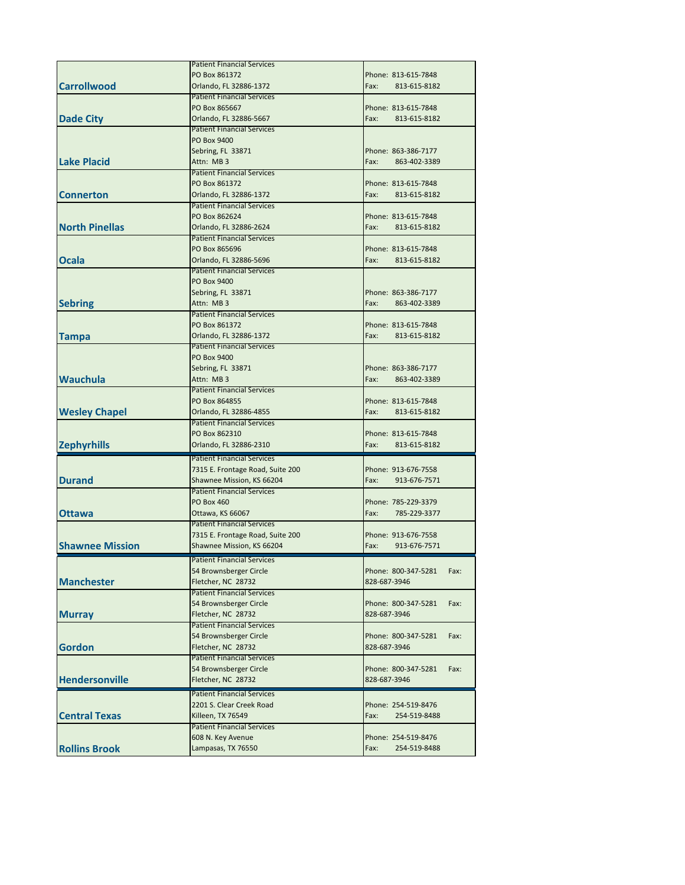|                        | <b>Patient Financial Services</b> |                             |
|------------------------|-----------------------------------|-----------------------------|
|                        | PO Box 861372                     | Phone: 813-615-7848         |
| <b>Carrollwood</b>     | Orlando, FL 32886-1372            | Fax:<br>813-615-8182        |
|                        | <b>Patient Financial Services</b> |                             |
|                        | PO Box 865667                     | Phone: 813-615-7848         |
| <b>Dade City</b>       | Orlando, FL 32886-5667            | Fax:<br>813-615-8182        |
|                        | <b>Patient Financial Services</b> |                             |
|                        | PO Box 9400                       |                             |
|                        | Sebring, FL 33871                 | Phone: 863-386-7177         |
| <b>Lake Placid</b>     | Attn: MB 3                        | Fax:<br>863-402-3389        |
|                        | <b>Patient Financial Services</b> |                             |
|                        | PO Box 861372                     | Phone: 813-615-7848         |
| <b>Connerton</b>       |                                   | Fax:<br>813-615-8182        |
|                        | Orlando, FL 32886-1372            |                             |
|                        | <b>Patient Financial Services</b> |                             |
|                        | PO Box 862624                     | Phone: 813-615-7848         |
| <b>North Pinellas</b>  | Orlando, FL 32886-2624            | Fax:<br>813-615-8182        |
|                        | <b>Patient Financial Services</b> |                             |
|                        | PO Box 865696                     | Phone: 813-615-7848         |
| Ocala                  | Orlando, FL 32886-5696            | Fax:<br>813-615-8182        |
|                        | <b>Patient Financial Services</b> |                             |
|                        | PO Box 9400                       |                             |
|                        | Sebring, FL 33871                 | Phone: 863-386-7177         |
| <b>Sebring</b>         | Attn: MB 3                        | Fax:<br>863-402-3389        |
|                        | <b>Patient Financial Services</b> |                             |
|                        | PO Box 861372                     | Phone: 813-615-7848         |
| Tampa                  | Orlando, FL 32886-1372            | Fax:<br>813-615-8182        |
|                        | <b>Patient Financial Services</b> |                             |
|                        | PO Box 9400                       |                             |
|                        | Sebring, FL 33871                 | Phone: 863-386-7177         |
| <b>Wauchula</b>        | Attn: MB 3                        | Fax:<br>863-402-3389        |
|                        | <b>Patient Financial Services</b> |                             |
|                        | PO Box 864855                     | Phone: 813-615-7848         |
| <b>Wesley Chapel</b>   | Orlando, FL 32886-4855            | Fax:<br>813-615-8182        |
|                        | <b>Patient Financial Services</b> |                             |
|                        | PO Box 862310                     | Phone: 813-615-7848         |
| <b>Zephyrhills</b>     | Orlando, FL 32886-2310            | Fax:<br>813-615-8182        |
|                        | <b>Patient Financial Services</b> |                             |
|                        | 7315 E. Frontage Road, Suite 200  | Phone: 913-676-7558         |
| <b>Durand</b>          | Shawnee Mission, KS 66204         | Fax:<br>913-676-7571        |
|                        | <b>Patient Financial Services</b> |                             |
|                        | <b>PO Box 460</b>                 | Phone: 785-229-3379         |
| <b>Ottawa</b>          | Ottawa, KS 66067                  | Fax:<br>785-229-3377        |
|                        | <b>Patient Financial Services</b> |                             |
|                        | 7315 E. Frontage Road, Suite 200  | Phone: 913-676-7558         |
| <b>Shawnee Mission</b> | Shawnee Mission, KS 66204         | Fax:<br>913-676-7571        |
|                        |                                   |                             |
|                        | <b>Patient Financial Services</b> |                             |
| <b>Manchester</b>      | 54 Brownsberger Circle            | Phone: 800-347-5281<br>Fax: |
|                        | Fletcher, NC 28732                | 828-687-3946                |
|                        | <b>Patient Financial Services</b> |                             |
|                        | 54 Brownsberger Circle            | Phone: 800-347-5281<br>Fax: |
| <b>Murray</b>          | Fletcher, NC 28732                | 828-687-3946                |
|                        | <b>Patient Financial Services</b> |                             |
|                        | 54 Brownsberger Circle            | Phone: 800-347-5281<br>Fax: |
| <b>Gordon</b>          | Fletcher, NC 28732                | 828-687-3946                |
|                        | <b>Patient Financial Services</b> |                             |
|                        | 54 Brownsberger Circle            | Phone: 800-347-5281<br>Fax: |
| <b>Hendersonville</b>  | Fletcher, NC 28732                | 828-687-3946                |
|                        | <b>Patient Financial Services</b> |                             |
|                        | 2201 S. Clear Creek Road          | Phone: 254-519-8476         |
| <b>Central Texas</b>   | Killeen, TX 76549                 | Fax:<br>254-519-8488        |
|                        | <b>Patient Financial Services</b> |                             |
|                        | 608 N. Key Avenue                 | Phone: 254-519-8476         |
| <b>Rollins Brook</b>   | Lampasas, TX 76550                | Fax:<br>254-519-8488        |
|                        |                                   |                             |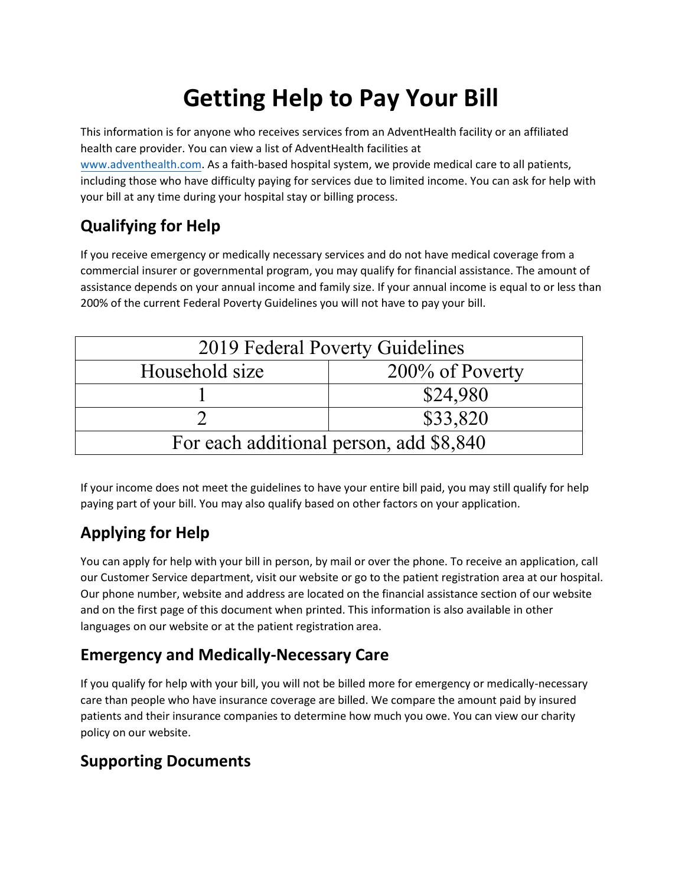# **Getting Help to Pay Your Bill**

This information is for anyone who receives services from an AdventHealth facility or an affiliated health care provider. You can view a list of AdventHealth facilities at www.adventhealth[.com. As a faith](http://www.adventisthealthsystem.com/)-based hospital system, we provide medical care to all patients, including those who have difficulty paying for services due to limited income. You can ask for help with your bill at any time during your hospital stay or billing process.

#### **Qualifying for Help**

If you receive emergency or medically necessary services and do not have medical coverage from a commercial insurer or governmental program, you may qualify for financial assistance. The amount of assistance depends on your annual income and family size. If your annual income is equal to or less than 200% of the current Federal Poverty Guidelines you will not have to pay your bill.

| 2019 Federal Poverty Guidelines         |                 |  |  |  |
|-----------------------------------------|-----------------|--|--|--|
| Household size                          | 200% of Poverty |  |  |  |
|                                         | \$24,980        |  |  |  |
|                                         | \$33,820        |  |  |  |
| For each additional person, add \$8,840 |                 |  |  |  |

If your income does not meet the guidelines to have your entire bill paid, you may still qualify for help paying part of your bill. You may also qualify based on other factors on your application.

#### **Applying for Help**

You can apply for help with your bill in person, by mail or over the phone. To receive an application, call our Customer Service department, visit our website or go to the patient registration area at our hospital. Our phone number, website and address are located on the financial assistance section of our website and on the first page of this document when printed. This information is also available in other languages on our website or at the patient registration area.

#### **Emergency and Medically-Necessary Care**

If you qualify for help with your bill, you will not be billed more for emergency or medically-necessary care than people who have insurance coverage are billed. We compare the amount paid by insured patients and their insurance companies to determine how much you owe. You can view our charity policy on our website.

#### **Supporting Documents**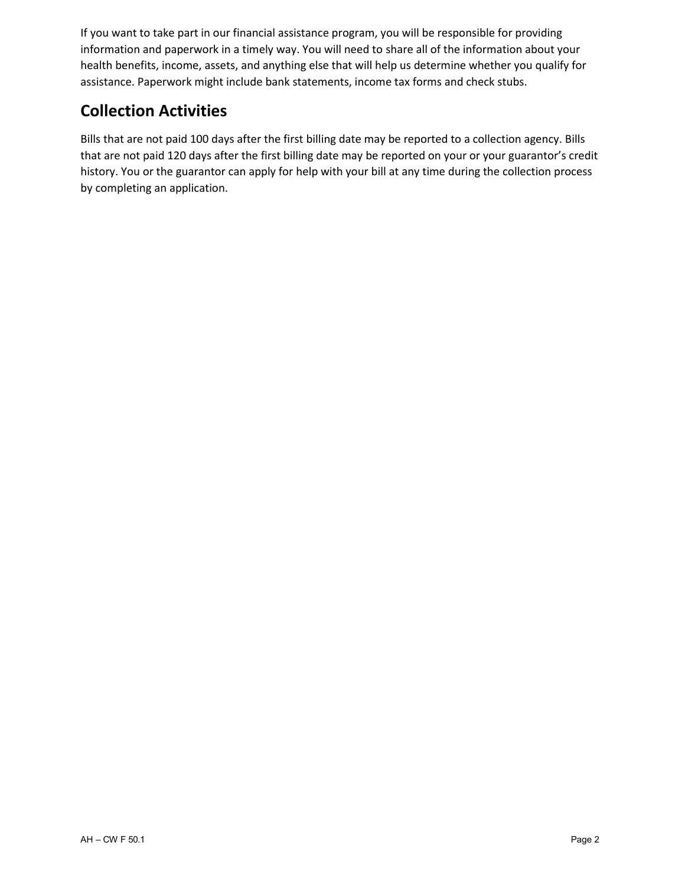If you want to take part in our financial assistance program, you will be responsible for providing information and paperwork in a timely way. You will need to share all of the information about your health benefits, income, assets, and anything else that will help us determine whether you qualify for assistance. Paperwork might include bank statements, income tax forms and check stubs.

#### **Collection Activities**

Bills that are not paid 100 days after the first billing date may be reported to a collection agency. Bills that are not paid 120 days after the first billing date may be reported on your or your guarantor's credit history. You or the guarantor can apply for help with your bill at any time during the collection process by completing an application.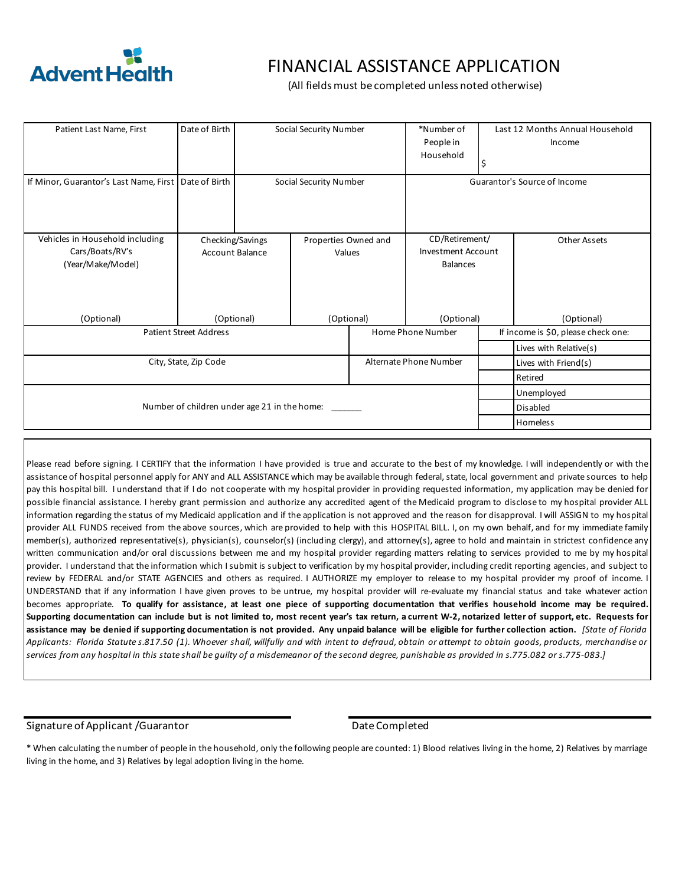

#### FINANCIAL ASSISTANCE APPLICATION

(All fields must be completed unless noted otherwise)

| Patient Last Name, First                     | Date of Birth | Social Security Number |                      | *Number of<br>People in<br>Household | S                      | Last 12 Months Annual Household<br>Income |                                     |
|----------------------------------------------|---------------|------------------------|----------------------|--------------------------------------|------------------------|-------------------------------------------|-------------------------------------|
| If Minor, Guarantor's Last Name, First       | Date of Birth | Social Security Number |                      | Guarantor's Source of Income         |                        |                                           |                                     |
| Vehicles in Household including              |               | Checking/Savings       | Properties Owned and |                                      | CD/Retirement/         |                                           | Other Assets                        |
| Cars/Boats/RV's                              |               | Account Balance        |                      | Investment Account<br>Values         |                        |                                           |                                     |
| (Year/Make/Model)                            |               |                        |                      |                                      | <b>Balances</b>        |                                           |                                     |
| (Optional)                                   | (Optional)    |                        | (Optional)           | (Optional)                           |                        | (Optional)                                |                                     |
| <b>Patient Street Address</b>                |               |                        |                      |                                      | Home Phone Number      |                                           | If income is \$0, please check one: |
|                                              |               |                        |                      |                                      |                        |                                           | Lives with Relative(s)              |
| City, State, Zip Code                        |               |                        |                      |                                      | Alternate Phone Number |                                           | Lives with Friend(s)                |
|                                              |               |                        |                      |                                      |                        |                                           | Retired                             |
|                                              |               |                        |                      |                                      |                        |                                           | Unemployed                          |
| Number of children under age 21 in the home: |               |                        |                      |                                      |                        |                                           | Disabled                            |
|                                              |               |                        |                      |                                      |                        |                                           | Homeless                            |

Please read before signing. I CERTIFY that the information I have provided is true and accurate to the best of my knowledge. I will independently or with the assistance of hospital personnel apply for ANY and ALL ASSISTANCE which may be available through federal, state, local government and private sources to help pay this hospital bill. I understand that if I do not cooperate with my hospital provider in providing requested information, my application may be denied for possible financial assistance. I hereby grant permission and authorize any accredited agent of the Medicaid program to disclose to my hospital provider ALL information regarding the status of my Medicaid application and if the application is not approved and the reason for disapproval. I will ASSIGN to my hospital provider ALL FUNDS received from the above sources, which are provided to help with this HOSPITAL BILL. I, on my own behalf, and for my immediate family member(s), authorized representative(s), physician(s), counselor(s) (including clergy), and attorney(s), agree to hold and maintain in strictest confidence any written communication and/or oral discussions between me and my hospital provider regarding matters relating to services provided to me by my hospital provider. I understand that the information which Isubmit is subject to verification by my hospital provider, including credit reporting agencies, and subject to review by FEDERAL and/or STATE AGENCIES and others as required. I AUTHORIZE my employer to release to my hospital provider my proof of income. I UNDERSTAND that if any information I have given proves to be untrue, my hospital provider will re-evaluate my financial status and take whatever action becomes appropriate. To qualify for assistance, at least one piece of supporting documentation that verifies household income may be required. Supporting documentation can include but is not limited to, most recent year's tax return, a current W-2, notarized letter of support, etc. Requests for assistance may be denied if supporting documentation is not provided. Any unpaid balance will be eligible for further collection action. [State of Florida Applicants: Florida Statutes.817.50 (1). Whoever shall, willfully and with intent to defraud, obtain or attempt to obtain goods, products, merchandise or *services from any hospital in this state shall be guilty of a misdemeanor of the second degree, punishable as provided in s.775.082 or s.775-083.]*

#### Signature of Applicant /Guarantor date completed by Date Completed

\* When calculating the number of people in the household, only the following people are counted: 1) Blood relatives living in the home, 2) Relatives by marriage living in the home, and 3) Relatives by legal adoption living in the home.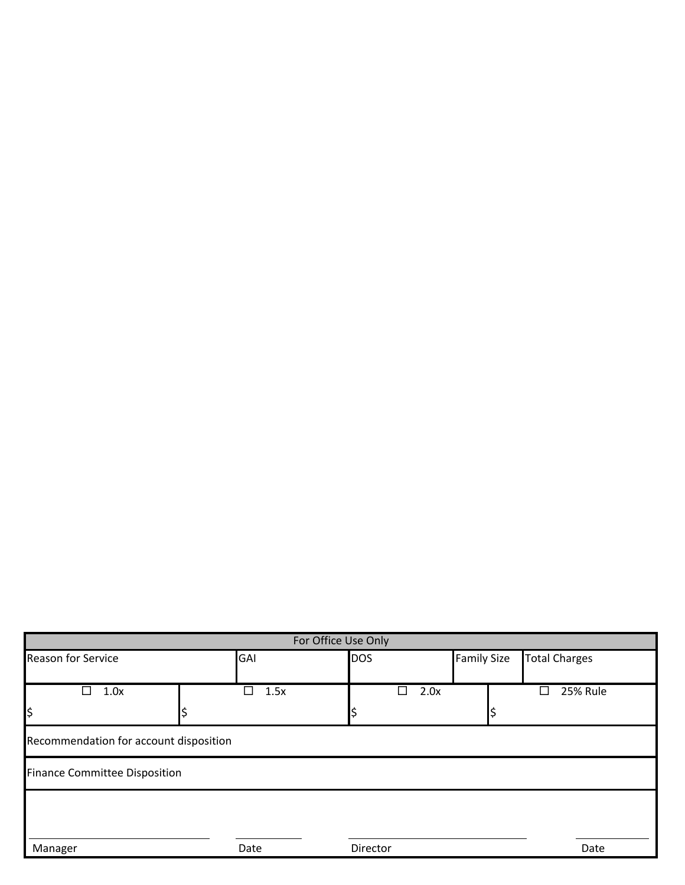| For Office Use Only                    |           |            |                    |                      |  |  |
|----------------------------------------|-----------|------------|--------------------|----------------------|--|--|
| Reason for Service                     | GAI       | <b>DOS</b> | <b>Family Size</b> | <b>Total Charges</b> |  |  |
|                                        |           |            |                    |                      |  |  |
| $\Box$<br>1.0x                         | П<br>1.5x | 2.0x<br>H  |                    | <b>25% Rule</b><br>Π |  |  |
| l\$                                    |           |            |                    |                      |  |  |
| Recommendation for account disposition |           |            |                    |                      |  |  |
| <b>Finance Committee Disposition</b>   |           |            |                    |                      |  |  |
|                                        |           |            |                    |                      |  |  |
|                                        |           |            |                    |                      |  |  |
| Manager                                | Date      | Director   |                    | Date                 |  |  |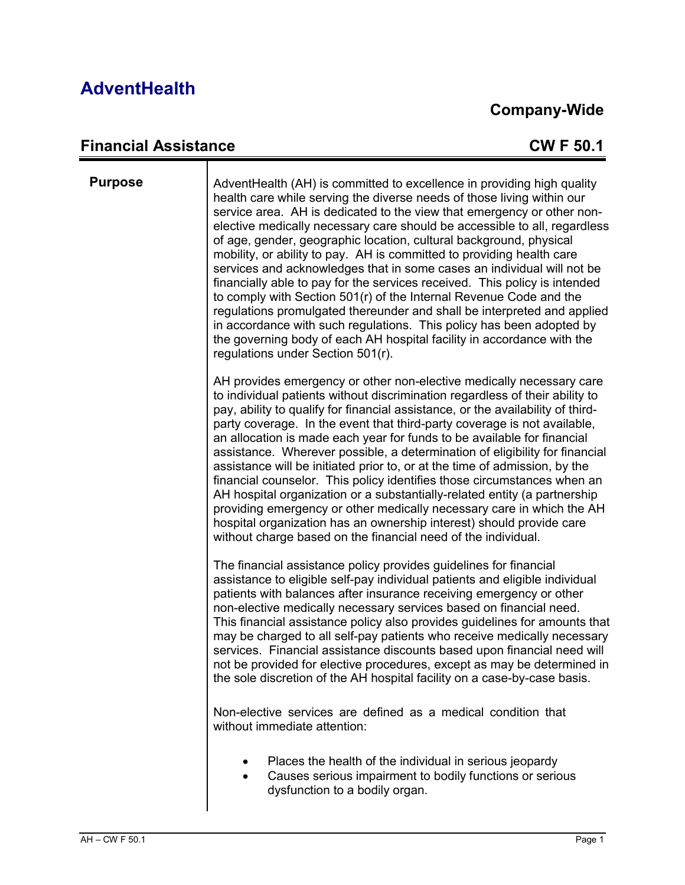#### **Company-Wide**

#### **Financial Assistance CW F 50.1**

| <b>Purpose</b> | AdventHealth (AH) is committed to excellence in providing high quality<br>health care while serving the diverse needs of those living within our<br>service area. AH is dedicated to the view that emergency or other non-<br>elective medically necessary care should be accessible to all, regardless<br>of age, gender, geographic location, cultural background, physical<br>mobility, or ability to pay. AH is committed to providing health care<br>services and acknowledges that in some cases an individual will not be<br>financially able to pay for the services received. This policy is intended<br>to comply with Section 501(r) of the Internal Revenue Code and the<br>regulations promulgated thereunder and shall be interpreted and applied<br>in accordance with such regulations. This policy has been adopted by<br>the governing body of each AH hospital facility in accordance with the<br>regulations under Section 501(r). |
|----------------|--------------------------------------------------------------------------------------------------------------------------------------------------------------------------------------------------------------------------------------------------------------------------------------------------------------------------------------------------------------------------------------------------------------------------------------------------------------------------------------------------------------------------------------------------------------------------------------------------------------------------------------------------------------------------------------------------------------------------------------------------------------------------------------------------------------------------------------------------------------------------------------------------------------------------------------------------------|
|                | AH provides emergency or other non-elective medically necessary care<br>to individual patients without discrimination regardless of their ability to<br>pay, ability to qualify for financial assistance, or the availability of third-<br>party coverage. In the event that third-party coverage is not available,<br>an allocation is made each year for funds to be available for financial<br>assistance. Wherever possible, a determination of eligibility for financial<br>assistance will be initiated prior to, or at the time of admission, by the<br>financial counselor. This policy identifies those circumstances when an<br>AH hospital organization or a substantially-related entity (a partnership<br>providing emergency or other medically necessary care in which the AH<br>hospital organization has an ownership interest) should provide care<br>without charge based on the financial need of the individual.                  |
|                | The financial assistance policy provides guidelines for financial<br>assistance to eligible self-pay individual patients and eligible individual<br>patients with balances after insurance receiving emergency or other<br>non-elective medically necessary services based on financial need.<br>This financial assistance policy also provides guidelines for amounts that<br>may be charged to all self-pay patients who receive medically necessary<br>services. Financial assistance discounts based upon financial need will<br>not be provided for elective procedures, except as may be determined in<br>the sole discretion of the AH hospital facility on a case-by-case basis.                                                                                                                                                                                                                                                               |
|                | Non-elective services are defined as a medical condition that<br>without immediate attention:                                                                                                                                                                                                                                                                                                                                                                                                                                                                                                                                                                                                                                                                                                                                                                                                                                                          |
|                | Places the health of the individual in serious jeopardy<br>Causes serious impairment to bodily functions or serious<br>٠<br>dysfunction to a bodily organ.                                                                                                                                                                                                                                                                                                                                                                                                                                                                                                                                                                                                                                                                                                                                                                                             |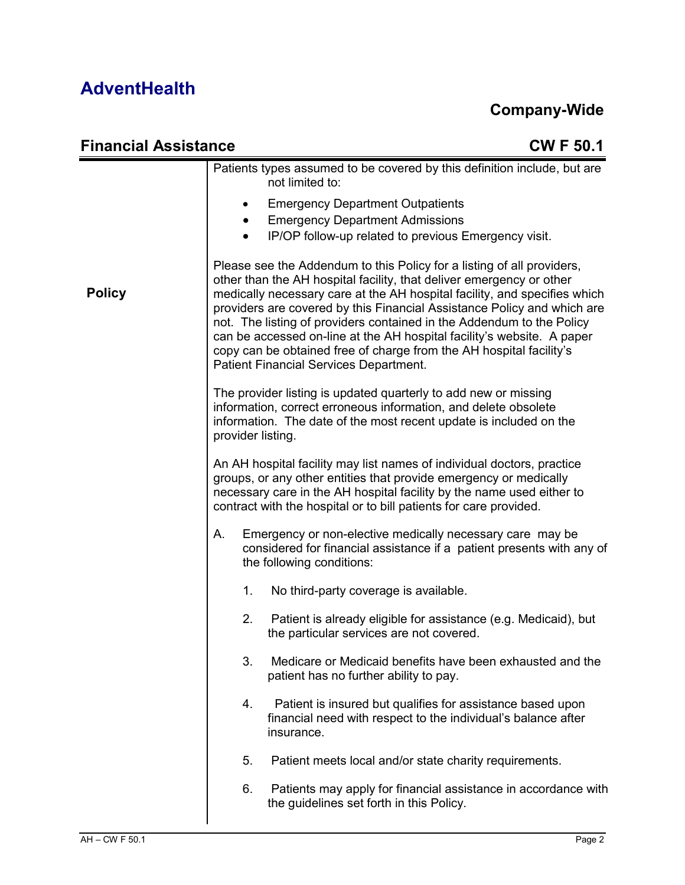| <b>Financial Assistance</b> | <b>CWF50.1</b>                                                                                                                                                                                                                                                                                                                                                                                                                                                                                                                                                             |
|-----------------------------|----------------------------------------------------------------------------------------------------------------------------------------------------------------------------------------------------------------------------------------------------------------------------------------------------------------------------------------------------------------------------------------------------------------------------------------------------------------------------------------------------------------------------------------------------------------------------|
|                             | Patients types assumed to be covered by this definition include, but are<br>not limited to:                                                                                                                                                                                                                                                                                                                                                                                                                                                                                |
|                             | <b>Emergency Department Outpatients</b><br>٠<br><b>Emergency Department Admissions</b><br>$\bullet$<br>IP/OP follow-up related to previous Emergency visit.<br>$\bullet$                                                                                                                                                                                                                                                                                                                                                                                                   |
| <b>Policy</b>               | Please see the Addendum to this Policy for a listing of all providers,<br>other than the AH hospital facility, that deliver emergency or other<br>medically necessary care at the AH hospital facility, and specifies which<br>providers are covered by this Financial Assistance Policy and which are<br>not. The listing of providers contained in the Addendum to the Policy<br>can be accessed on-line at the AH hospital facility's website. A paper<br>copy can be obtained free of charge from the AH hospital facility's<br>Patient Financial Services Department. |
|                             | The provider listing is updated quarterly to add new or missing<br>information, correct erroneous information, and delete obsolete<br>information. The date of the most recent update is included on the<br>provider listing.                                                                                                                                                                                                                                                                                                                                              |
|                             | An AH hospital facility may list names of individual doctors, practice<br>groups, or any other entities that provide emergency or medically<br>necessary care in the AH hospital facility by the name used either to<br>contract with the hospital or to bill patients for care provided.                                                                                                                                                                                                                                                                                  |
|                             | А.<br>Emergency or non-elective medically necessary care may be<br>considered for financial assistance if a patient presents with any of<br>the following conditions:                                                                                                                                                                                                                                                                                                                                                                                                      |
|                             | 1.<br>No third-party coverage is available.                                                                                                                                                                                                                                                                                                                                                                                                                                                                                                                                |
|                             | 2.<br>Patient is already eligible for assistance (e.g. Medicaid), but<br>the particular services are not covered.                                                                                                                                                                                                                                                                                                                                                                                                                                                          |
|                             | 3.<br>Medicare or Medicaid benefits have been exhausted and the<br>patient has no further ability to pay.                                                                                                                                                                                                                                                                                                                                                                                                                                                                  |
|                             | 4.<br>Patient is insured but qualifies for assistance based upon<br>financial need with respect to the individual's balance after<br>insurance.                                                                                                                                                                                                                                                                                                                                                                                                                            |
|                             | 5 <sub>1</sub><br>Patient meets local and/or state charity requirements.                                                                                                                                                                                                                                                                                                                                                                                                                                                                                                   |
|                             | 6.<br>Patients may apply for financial assistance in accordance with<br>the guidelines set forth in this Policy.                                                                                                                                                                                                                                                                                                                                                                                                                                                           |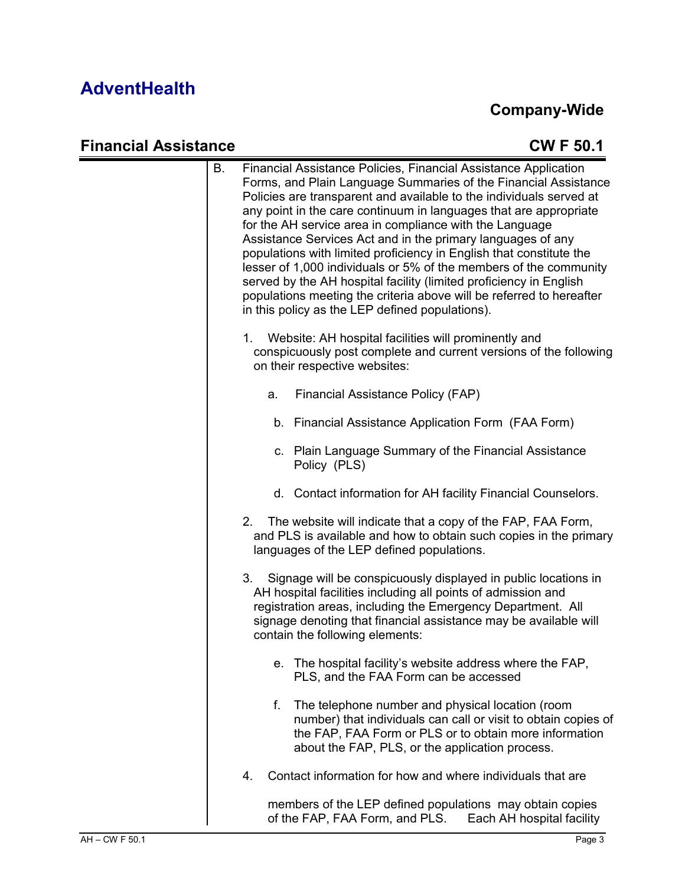#### **Company-Wide**

#### **Financial Assistance CW F 50.1** B. Financial Assistance Policies, Financial Assistance Application Forms, and Plain Language Summaries of the Financial Assistance Policies are transparent and available to the individuals served at any point in the care continuum in languages that are appropriate for the AH service area in compliance with the Language Assistance Services Act and in the primary languages of any populations with limited proficiency in English that constitute the lesser of 1,000 individuals or 5% of the members of the community served by the AH hospital facility (limited proficiency in English populations meeting the criteria above will be referred to hereafter in this policy as the LEP defined populations). 1. Website: AH hospital facilities will prominently and conspicuously post complete and current versions of the following on their respective websites: a. Financial Assistance Policy (FAP) b. Financial Assistance Application Form (FAA Form) c. Plain Language Summary of the Financial Assistance Policy (PLS) d. Contact information for AH facility Financial Counselors. 2. The website will indicate that a copy of the FAP, FAA Form, and PLS is available and how to obtain such copies in the primary languages of the LEP defined populations. 3. Signage will be conspicuously displayed in public locations in AH hospital facilities including all points of admission and registration areas, including the Emergency Department. All signage denoting that financial assistance may be available will contain the following elements: e. The hospital facility's website address where the FAP, PLS, and the FAA Form can be accessed f. The telephone number and physical location (room number) that individuals can call or visit to obtain copies of the FAP, FAA Form or PLS or to obtain more information about the FAP, PLS, or the application process.

4. Contact information for how and where individuals that are

members of the LEP defined populations may obtain copies of the FAP, FAA Form, and PLS. Each AH hospital facility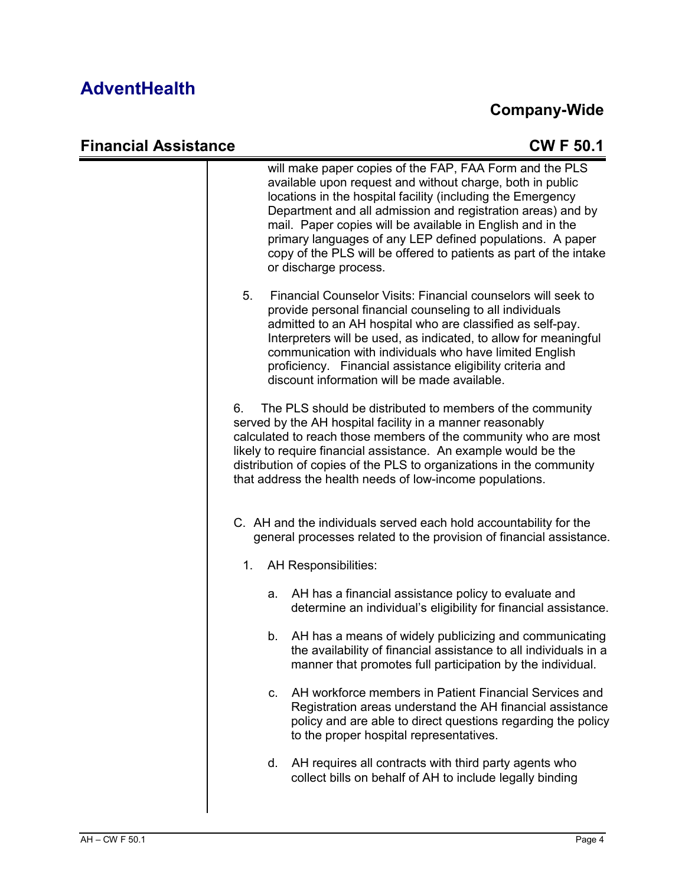#### **Company-Wide**

#### **Financial Assistance CW F 50.1** will make paper copies of the FAP, FAA Form and the PLS available upon request and without charge, both in public locations in the hospital facility (including the Emergency Department and all admission and registration areas) and by mail. Paper copies will be available in English and in the primary languages of any LEP defined populations. A paper copy of the PLS will be offered to patients as part of the intake or discharge process. 5. Financial Counselor Visits: Financial counselors will seek to provide personal financial counseling to all individuals admitted to an AH hospital who are classified as self-pay. Interpreters will be used, as indicated, to allow for meaningful communication with individuals who have limited English proficiency. Financial assistance eligibility criteria and discount information will be made available. 6. The PLS should be distributed to members of the community served by the AH hospital facility in a manner reasonably calculated to reach those members of the community who are most likely to require financial assistance. An example would be the distribution of copies of the PLS to organizations in the community that address the health needs of low-income populations. C. AH and the individuals served each hold accountability for the general processes related to the provision of financial assistance. 1. AH Responsibilities: a. AH has a financial assistance policy to evaluate and determine an individual's eligibility for financial assistance. b. AH has a means of widely publicizing and communicating the availability of financial assistance to all individuals in a manner that promotes full participation by the individual. c. AH workforce members in Patient Financial Services and Registration areas understand the AH financial assistance policy and are able to direct questions regarding the policy to the proper hospital representatives. d. AH requires all contracts with third party agents who collect bills on behalf of AH to include legally binding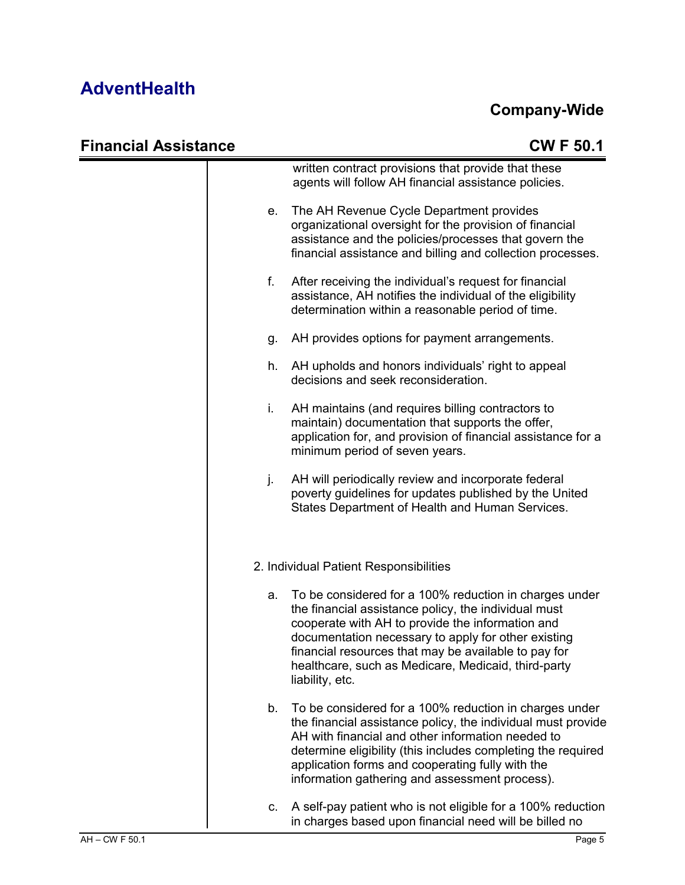| <b>Financial Assistance</b> |    | <b>CWF50.1</b>                                                                                                                                                                                                                                                                                                                                              |
|-----------------------------|----|-------------------------------------------------------------------------------------------------------------------------------------------------------------------------------------------------------------------------------------------------------------------------------------------------------------------------------------------------------------|
|                             |    | written contract provisions that provide that these<br>agents will follow AH financial assistance policies.                                                                                                                                                                                                                                                 |
|                             | е. | The AH Revenue Cycle Department provides<br>organizational oversight for the provision of financial<br>assistance and the policies/processes that govern the<br>financial assistance and billing and collection processes.                                                                                                                                  |
|                             | f. | After receiving the individual's request for financial<br>assistance, AH notifies the individual of the eligibility<br>determination within a reasonable period of time.                                                                                                                                                                                    |
|                             | g. | AH provides options for payment arrangements.                                                                                                                                                                                                                                                                                                               |
|                             | h. | AH upholds and honors individuals' right to appeal<br>decisions and seek reconsideration.                                                                                                                                                                                                                                                                   |
|                             | i. | AH maintains (and requires billing contractors to<br>maintain) documentation that supports the offer,<br>application for, and provision of financial assistance for a<br>minimum period of seven years.                                                                                                                                                     |
|                             | j. | AH will periodically review and incorporate federal<br>poverty guidelines for updates published by the United<br>States Department of Health and Human Services.                                                                                                                                                                                            |
|                             |    | 2. Individual Patient Responsibilities                                                                                                                                                                                                                                                                                                                      |
|                             | a. | To be considered for a 100% reduction in charges under<br>the financial assistance policy, the individual must<br>cooperate with AH to provide the information and<br>documentation necessary to apply for other existing<br>financial resources that may be available to pay for<br>healthcare, such as Medicare, Medicaid, third-party<br>liability, etc. |
|                             | b. | To be considered for a 100% reduction in charges under<br>the financial assistance policy, the individual must provide<br>AH with financial and other information needed to<br>determine eligibility (this includes completing the required<br>application forms and cooperating fully with the<br>information gathering and assessment process).           |
|                             | C. | A self-pay patient who is not eligible for a 100% reduction<br>in charges based upon financial need will be billed no                                                                                                                                                                                                                                       |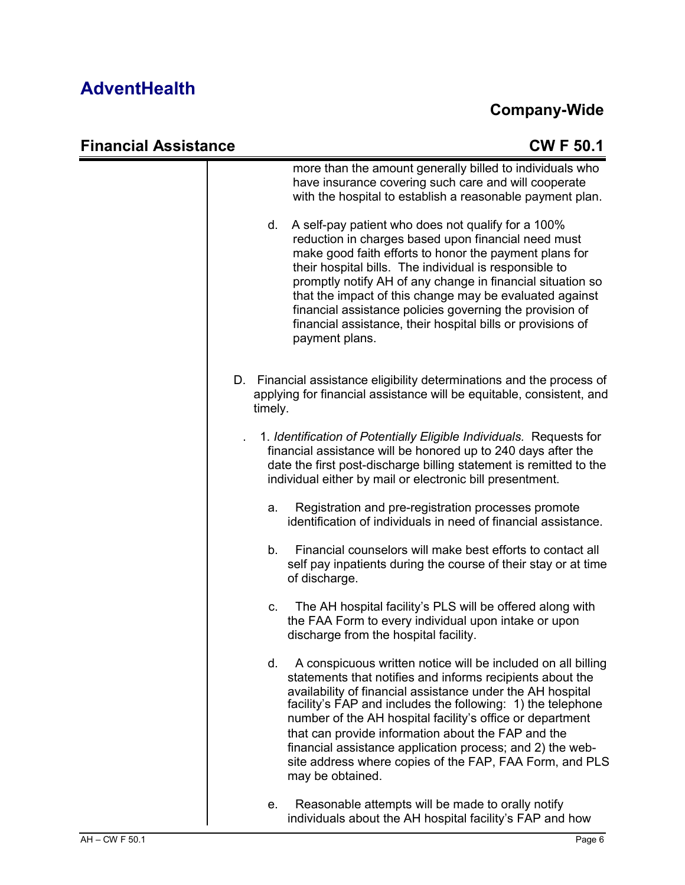| <b>Financial Assistance</b> | <b>CWF50.1</b>                                                                                                                                                                                                                                                                                                                                                                                                                                                                                                              |
|-----------------------------|-----------------------------------------------------------------------------------------------------------------------------------------------------------------------------------------------------------------------------------------------------------------------------------------------------------------------------------------------------------------------------------------------------------------------------------------------------------------------------------------------------------------------------|
|                             | more than the amount generally billed to individuals who<br>have insurance covering such care and will cooperate<br>with the hospital to establish a reasonable payment plan.                                                                                                                                                                                                                                                                                                                                               |
|                             | A self-pay patient who does not qualify for a 100%<br>d.<br>reduction in charges based upon financial need must<br>make good faith efforts to honor the payment plans for<br>their hospital bills. The individual is responsible to<br>promptly notify AH of any change in financial situation so<br>that the impact of this change may be evaluated against<br>financial assistance policies governing the provision of<br>financial assistance, their hospital bills or provisions of<br>payment plans.                   |
|                             | D. Financial assistance eligibility determinations and the process of<br>applying for financial assistance will be equitable, consistent, and<br>timely.                                                                                                                                                                                                                                                                                                                                                                    |
|                             | 1. Identification of Potentially Eligible Individuals. Requests for<br>financial assistance will be honored up to 240 days after the<br>date the first post-discharge billing statement is remitted to the<br>individual either by mail or electronic bill presentment.                                                                                                                                                                                                                                                     |
|                             | Registration and pre-registration processes promote<br>a.<br>identification of individuals in need of financial assistance.                                                                                                                                                                                                                                                                                                                                                                                                 |
|                             | Financial counselors will make best efforts to contact all<br>b.<br>self pay inpatients during the course of their stay or at time<br>of discharge.                                                                                                                                                                                                                                                                                                                                                                         |
|                             | The AH hospital facility's PLS will be offered along with<br>C.<br>the FAA Form to every individual upon intake or upon<br>discharge from the hospital facility.                                                                                                                                                                                                                                                                                                                                                            |
|                             | A conspicuous written notice will be included on all billing<br>d.<br>statements that notifies and informs recipients about the<br>availability of financial assistance under the AH hospital<br>facility's FAP and includes the following: 1) the telephone<br>number of the AH hospital facility's office or department<br>that can provide information about the FAP and the<br>financial assistance application process; and 2) the web-<br>site address where copies of the FAP, FAA Form, and PLS<br>may be obtained. |
|                             | Reasonable attempts will be made to orally notify<br>е.<br>individuals about the AH hospital facility's FAP and how                                                                                                                                                                                                                                                                                                                                                                                                         |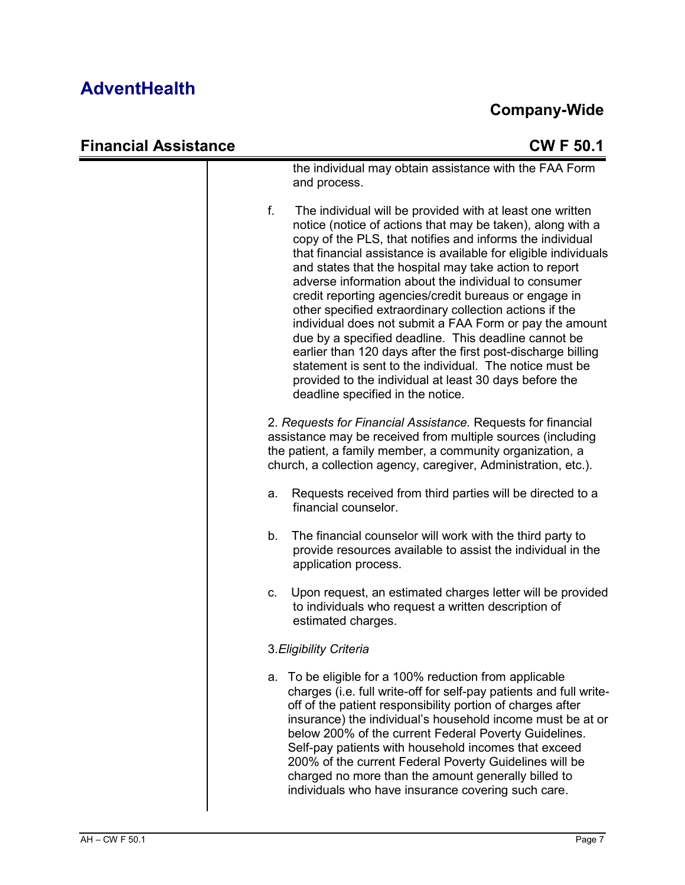| <b>Financial Assistance</b> | <b>CWF50.1</b>                                                                                                                                                                                                                                                                                                                                                                                                                                                                                                                                                                                                                                                                                                                                                                                                                                   |
|-----------------------------|--------------------------------------------------------------------------------------------------------------------------------------------------------------------------------------------------------------------------------------------------------------------------------------------------------------------------------------------------------------------------------------------------------------------------------------------------------------------------------------------------------------------------------------------------------------------------------------------------------------------------------------------------------------------------------------------------------------------------------------------------------------------------------------------------------------------------------------------------|
|                             | the individual may obtain assistance with the FAA Form<br>and process.                                                                                                                                                                                                                                                                                                                                                                                                                                                                                                                                                                                                                                                                                                                                                                           |
|                             | f.<br>The individual will be provided with at least one written<br>notice (notice of actions that may be taken), along with a<br>copy of the PLS, that notifies and informs the individual<br>that financial assistance is available for eligible individuals<br>and states that the hospital may take action to report<br>adverse information about the individual to consumer<br>credit reporting agencies/credit bureaus or engage in<br>other specified extraordinary collection actions if the<br>individual does not submit a FAA Form or pay the amount<br>due by a specified deadline. This deadline cannot be<br>earlier than 120 days after the first post-discharge billing<br>statement is sent to the individual. The notice must be<br>provided to the individual at least 30 days before the<br>deadline specified in the notice. |
|                             | 2. Requests for Financial Assistance. Requests for financial<br>assistance may be received from multiple sources (including<br>the patient, a family member, a community organization, a<br>church, a collection agency, caregiver, Administration, etc.).                                                                                                                                                                                                                                                                                                                                                                                                                                                                                                                                                                                       |
|                             | Requests received from third parties will be directed to a<br>a.<br>financial counselor.                                                                                                                                                                                                                                                                                                                                                                                                                                                                                                                                                                                                                                                                                                                                                         |
|                             | The financial counselor will work with the third party to<br>b.<br>provide resources available to assist the individual in the<br>application process.                                                                                                                                                                                                                                                                                                                                                                                                                                                                                                                                                                                                                                                                                           |
|                             | Upon request, an estimated charges letter will be provided<br>C.<br>to individuals who request a written description of<br>estimated charges.                                                                                                                                                                                                                                                                                                                                                                                                                                                                                                                                                                                                                                                                                                    |
|                             | 3. Eligibility Criteria                                                                                                                                                                                                                                                                                                                                                                                                                                                                                                                                                                                                                                                                                                                                                                                                                          |
|                             | To be eligible for a 100% reduction from applicable<br>a.<br>charges (i.e. full write-off for self-pay patients and full write-<br>off of the patient responsibility portion of charges after<br>insurance) the individual's household income must be at or<br>below 200% of the current Federal Poverty Guidelines.<br>Self-pay patients with household incomes that exceed<br>200% of the current Federal Poverty Guidelines will be<br>charged no more than the amount generally billed to<br>individuals who have insurance covering such care.                                                                                                                                                                                                                                                                                              |
|                             |                                                                                                                                                                                                                                                                                                                                                                                                                                                                                                                                                                                                                                                                                                                                                                                                                                                  |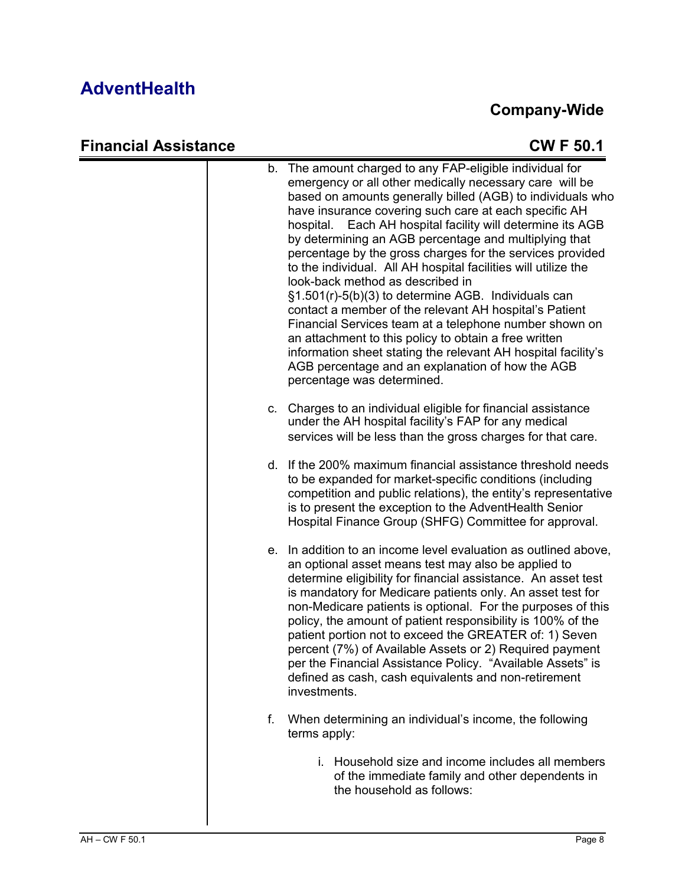# **Company-Wide**

| <b>Financial Assistance</b> |             | <b>CWF50.1</b>                                                                                                                                                                                                                                                                                                                                                                                                                                                                                                                                                                                                                                                                                                                                                                                                                                                                                                                 |
|-----------------------------|-------------|--------------------------------------------------------------------------------------------------------------------------------------------------------------------------------------------------------------------------------------------------------------------------------------------------------------------------------------------------------------------------------------------------------------------------------------------------------------------------------------------------------------------------------------------------------------------------------------------------------------------------------------------------------------------------------------------------------------------------------------------------------------------------------------------------------------------------------------------------------------------------------------------------------------------------------|
|                             |             | b. The amount charged to any FAP-eligible individual for<br>emergency or all other medically necessary care will be<br>based on amounts generally billed (AGB) to individuals who<br>have insurance covering such care at each specific AH<br>Each AH hospital facility will determine its AGB<br>hospital.<br>by determining an AGB percentage and multiplying that<br>percentage by the gross charges for the services provided<br>to the individual. All AH hospital facilities will utilize the<br>look-back method as described in<br>§1.501(r)-5(b)(3) to determine AGB. Individuals can<br>contact a member of the relevant AH hospital's Patient<br>Financial Services team at a telephone number shown on<br>an attachment to this policy to obtain a free written<br>information sheet stating the relevant AH hospital facility's<br>AGB percentage and an explanation of how the AGB<br>percentage was determined. |
|                             | $c_{\cdot}$ | Charges to an individual eligible for financial assistance<br>under the AH hospital facility's FAP for any medical<br>services will be less than the gross charges for that care.                                                                                                                                                                                                                                                                                                                                                                                                                                                                                                                                                                                                                                                                                                                                              |
|                             |             | d. If the 200% maximum financial assistance threshold needs<br>to be expanded for market-specific conditions (including<br>competition and public relations), the entity's representative<br>is to present the exception to the AdventHealth Senior<br>Hospital Finance Group (SHFG) Committee for approval.                                                                                                                                                                                                                                                                                                                                                                                                                                                                                                                                                                                                                   |
|                             |             | e. In addition to an income level evaluation as outlined above,<br>an optional asset means test may also be applied to<br>determine eligibility for financial assistance. An asset test<br>is mandatory for Medicare patients only. An asset test for<br>non-Medicare patients is optional. For the purposes of this<br>policy, the amount of patient responsibility is 100% of the<br>patient portion not to exceed the GREATER of: 1) Seven<br>percent (7%) of Available Assets or 2) Required payment<br>per the Financial Assistance Policy. "Available Assets" is<br>defined as cash, cash equivalents and non-retirement<br>investments.                                                                                                                                                                                                                                                                                 |
|                             | f.          | When determining an individual's income, the following<br>terms apply:                                                                                                                                                                                                                                                                                                                                                                                                                                                                                                                                                                                                                                                                                                                                                                                                                                                         |
|                             |             | i. Household size and income includes all members<br>of the immediate family and other dependents in<br>the household as follows:                                                                                                                                                                                                                                                                                                                                                                                                                                                                                                                                                                                                                                                                                                                                                                                              |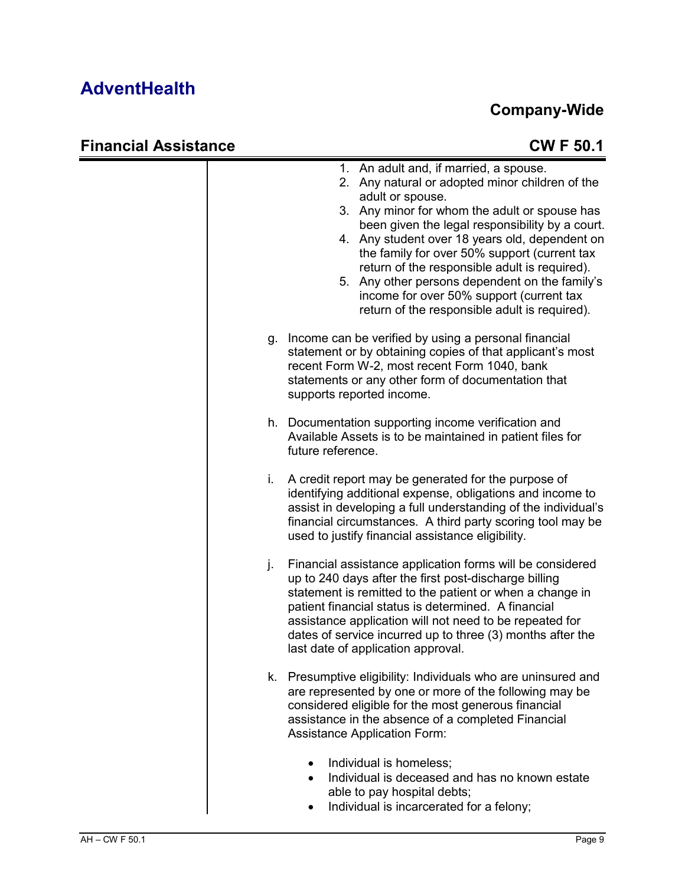#### **Company-Wide**

|    | 1. An adult and, if married, a spouse.<br>Any natural or adopted minor children of the<br>2.<br>adult or spouse.<br>3. Any minor for whom the adult or spouse has<br>been given the legal responsibility by a court.<br>4. Any student over 18 years old, dependent on<br>the family for over 50% support (current tax<br>return of the responsible adult is required).<br>5. Any other persons dependent on the family's<br>income for over 50% support (current tax<br>return of the responsible adult is required). |
|----|------------------------------------------------------------------------------------------------------------------------------------------------------------------------------------------------------------------------------------------------------------------------------------------------------------------------------------------------------------------------------------------------------------------------------------------------------------------------------------------------------------------------|
| g. | Income can be verified by using a personal financial<br>statement or by obtaining copies of that applicant's most<br>recent Form W-2, most recent Form 1040, bank<br>statements or any other form of documentation that<br>supports reported income.                                                                                                                                                                                                                                                                   |
|    | h. Documentation supporting income verification and<br>Available Assets is to be maintained in patient files for<br>future reference.                                                                                                                                                                                                                                                                                                                                                                                  |
| i. | A credit report may be generated for the purpose of<br>identifying additional expense, obligations and income to<br>assist in developing a full understanding of the individual's<br>financial circumstances. A third party scoring tool may be<br>used to justify financial assistance eligibility.                                                                                                                                                                                                                   |
| j. | Financial assistance application forms will be considered<br>up to 240 days after the first post-discharge billing<br>statement is remitted to the patient or when a change in<br>patient financial status is determined. A financial<br>assistance application will not need to be repeated for<br>dates of service incurred up to three (3) months after the<br>last date of application approval.                                                                                                                   |
|    | k. Presumptive eligibility: Individuals who are uninsured and<br>are represented by one or more of the following may be<br>considered eligible for the most generous financial<br>assistance in the absence of a completed Financial<br><b>Assistance Application Form:</b>                                                                                                                                                                                                                                            |
|    | Individual is homeless;<br>Individual is deceased and has no known estate<br>able to pay hospital debts;<br>Individual is incarcerated for a felony;                                                                                                                                                                                                                                                                                                                                                                   |

#### • Individual is incarcerated for a felony;

#### **Financial Assistance CW F 50.1**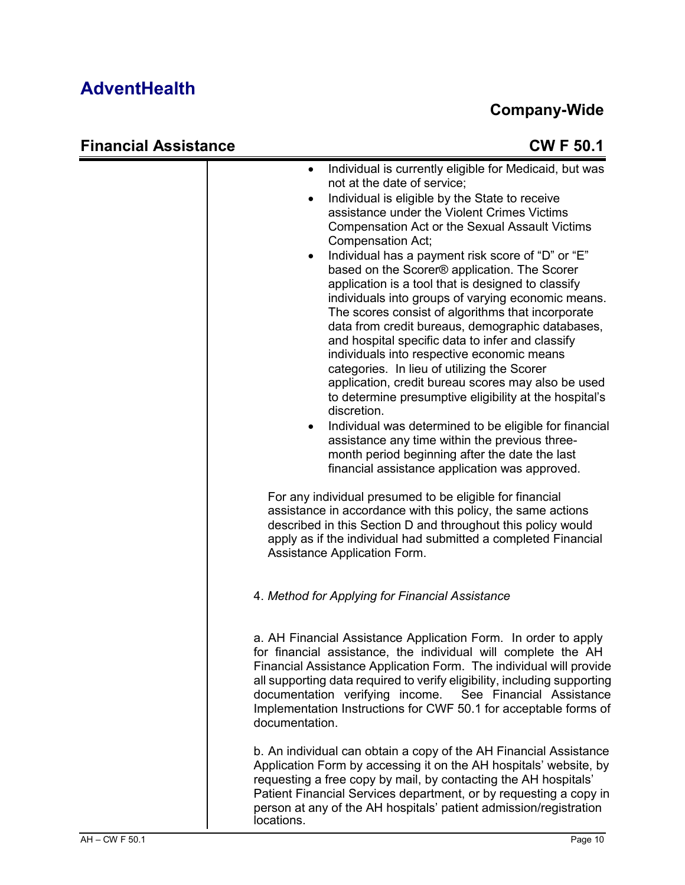#### **Company-Wide**

|  | <b>Financial Assistance</b> |
|--|-----------------------------|
|--|-----------------------------|

| stance | <b>CWF 50.1</b>                                                                                                                                                                                                                                                                                                                                                                                                                                                                                                                                                                                                                                                                                                                                                                                                                                                                                                                                                                                                                                                                                                                                                                                                                                                                                                                                                                                        |
|--------|--------------------------------------------------------------------------------------------------------------------------------------------------------------------------------------------------------------------------------------------------------------------------------------------------------------------------------------------------------------------------------------------------------------------------------------------------------------------------------------------------------------------------------------------------------------------------------------------------------------------------------------------------------------------------------------------------------------------------------------------------------------------------------------------------------------------------------------------------------------------------------------------------------------------------------------------------------------------------------------------------------------------------------------------------------------------------------------------------------------------------------------------------------------------------------------------------------------------------------------------------------------------------------------------------------------------------------------------------------------------------------------------------------|
|        | Individual is currently eligible for Medicaid, but was<br>$\bullet$<br>not at the date of service;<br>Individual is eligible by the State to receive<br>assistance under the Violent Crimes Victims<br>Compensation Act or the Sexual Assault Victims<br>Compensation Act;<br>Individual has a payment risk score of "D" or "E"<br>٠<br>based on the Scorer® application. The Scorer<br>application is a tool that is designed to classify<br>individuals into groups of varying economic means.<br>The scores consist of algorithms that incorporate<br>data from credit bureaus, demographic databases,<br>and hospital specific data to infer and classify<br>individuals into respective economic means<br>categories. In lieu of utilizing the Scorer<br>application, credit bureau scores may also be used<br>to determine presumptive eligibility at the hospital's<br>discretion.<br>Individual was determined to be eligible for financial<br>assistance any time within the previous three-<br>month period beginning after the date the last<br>financial assistance application was approved.<br>For any individual presumed to be eligible for financial<br>assistance in accordance with this policy, the same actions<br>described in this Section D and throughout this policy would<br>apply as if the individual had submitted a completed Financial<br>Assistance Application Form. |
|        | 4. Method for Applying for Financial Assistance                                                                                                                                                                                                                                                                                                                                                                                                                                                                                                                                                                                                                                                                                                                                                                                                                                                                                                                                                                                                                                                                                                                                                                                                                                                                                                                                                        |
|        | a. AH Financial Assistance Application Form. In order to apply<br>for financial assistance, the individual will complete the AH<br>Financial Assistance Application Form. The individual will provide<br>all supporting data required to verify eligibility, including supporting<br>documentation verifying income. See Financial Assistance<br>Implementation Instructions for CWF 50.1 for acceptable forms of<br>documentation.                                                                                                                                                                                                                                                                                                                                                                                                                                                                                                                                                                                                                                                                                                                                                                                                                                                                                                                                                                    |
|        | b. An individual can obtain a copy of the AH Financial Assistance<br>Application Form by accessing it on the AH hospitals' website, by<br>requesting a free copy by mail, by contacting the AH hospitals'<br>Patient Financial Services department, or by requesting a copy in<br>person at any of the AH hospitals' patient admission/registration<br>locations.                                                                                                                                                                                                                                                                                                                                                                                                                                                                                                                                                                                                                                                                                                                                                                                                                                                                                                                                                                                                                                      |

 $\overline{\phantom{a}}$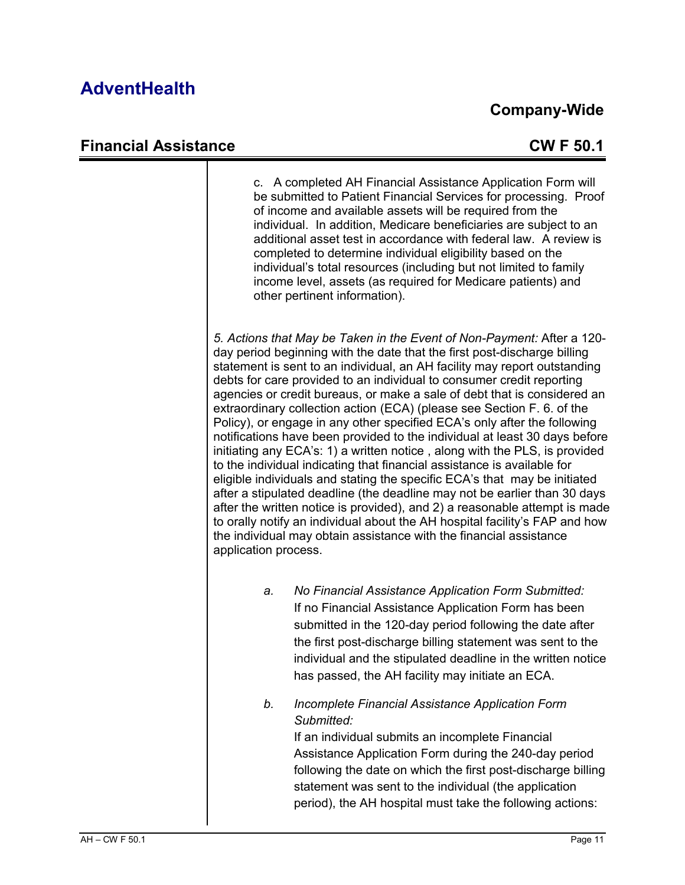#### **Company-Wide**

#### **Financial Assistance CW F 50.1**

c. A completed AH Financial Assistance Application Form will be submitted to Patient Financial Services for processing. Proof of income and available assets will be required from the individual. In addition, Medicare beneficiaries are subject to an additional asset test in accordance with federal law. A review is completed to determine individual eligibility based on the individual's total resources (including but not limited to family income level, assets (as required for Medicare patients) and other pertinent information). *5. Actions that May be Taken in the Event of Non-Payment:* After a 120 day period beginning with the date that the first post-discharge billing statement is sent to an individual, an AH facility may report outstanding debts for care provided to an individual to consumer credit reporting agencies or credit bureaus, or make a sale of debt that is considered an extraordinary collection action (ECA) (please see Section F. 6. of the Policy), or engage in any other specified ECA's only after the following notifications have been provided to the individual at least 30 days before initiating any ECA's: 1) a written notice , along with the PLS, is provided to the individual indicating that financial assistance is available for eligible individuals and stating the specific ECA's that may be initiated after a stipulated deadline (the deadline may not be earlier than 30 days after the written notice is provided), and 2) a reasonable attempt is made to orally notify an individual about the AH hospital facility's FAP and how the individual may obtain assistance with the financial assistance application process. *a. No Financial Assistance Application Form Submitted:* If no Financial Assistance Application Form has been submitted in the 120-day period following the date after the first post-discharge billing statement was sent to the individual and the stipulated deadline in the written notice has passed, the AH facility may initiate an ECA. *b. Incomplete Financial Assistance Application Form Submitted:* If an individual submits an incomplete Financial Assistance Application Form during the 240-day period following the date on which the first post-discharge billing statement was sent to the individual (the application period), the AH hospital must take the following actions: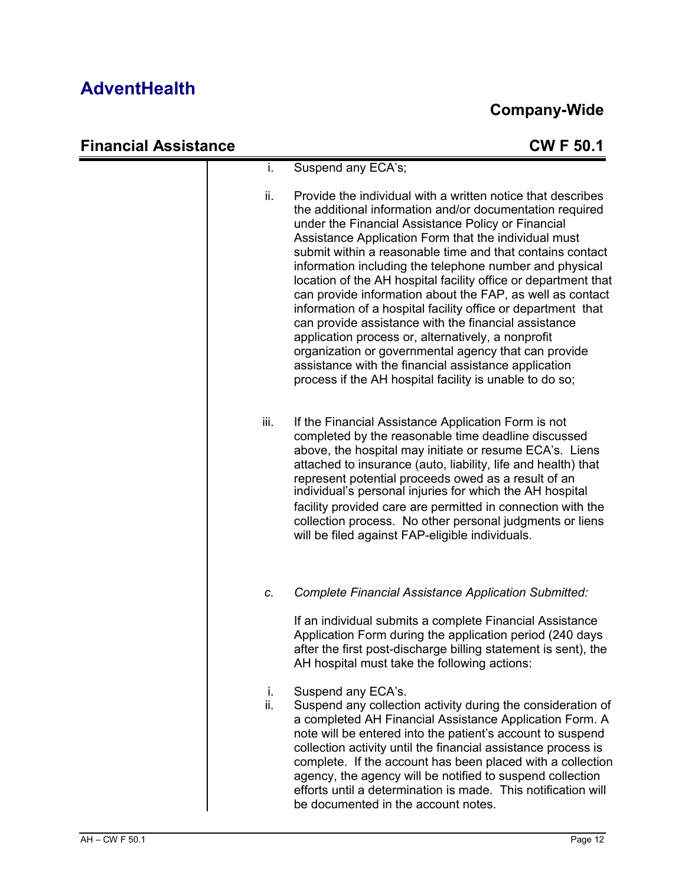| <b>Financial Assistance</b> |           | <b>CWF50.1</b>                                                                                                                                                                                                                                                                                                                                                                                                                                                                                                                                                                                                                                                                                                                                                                                                                                        |
|-----------------------------|-----------|-------------------------------------------------------------------------------------------------------------------------------------------------------------------------------------------------------------------------------------------------------------------------------------------------------------------------------------------------------------------------------------------------------------------------------------------------------------------------------------------------------------------------------------------------------------------------------------------------------------------------------------------------------------------------------------------------------------------------------------------------------------------------------------------------------------------------------------------------------|
|                             | i.        | Suspend any ECA's;                                                                                                                                                                                                                                                                                                                                                                                                                                                                                                                                                                                                                                                                                                                                                                                                                                    |
|                             | ii.       | Provide the individual with a written notice that describes<br>the additional information and/or documentation required<br>under the Financial Assistance Policy or Financial<br>Assistance Application Form that the individual must<br>submit within a reasonable time and that contains contact<br>information including the telephone number and physical<br>location of the AH hospital facility office or department that<br>can provide information about the FAP, as well as contact<br>information of a hospital facility office or department that<br>can provide assistance with the financial assistance<br>application process or, alternatively, a nonprofit<br>organization or governmental agency that can provide<br>assistance with the financial assistance application<br>process if the AH hospital facility is unable to do so; |
|                             | iii.      | If the Financial Assistance Application Form is not<br>completed by the reasonable time deadline discussed<br>above, the hospital may initiate or resume ECA's. Liens<br>attached to insurance (auto, liability, life and health) that<br>represent potential proceeds owed as a result of an<br>individual's personal injuries for which the AH hospital<br>facility provided care are permitted in connection with the<br>collection process. No other personal judgments or liens<br>will be filed against FAP-eligible individuals.                                                                                                                                                                                                                                                                                                               |
|                             | C.        | <b>Complete Financial Assistance Application Submitted:</b><br>If an individual submits a complete Financial Assistance<br>Application Form during the application period (240 days<br>after the first post-discharge billing statement is sent), the<br>AH hospital must take the following actions:                                                                                                                                                                                                                                                                                                                                                                                                                                                                                                                                                 |
|                             | i.<br>ii. | Suspend any ECA's.<br>Suspend any collection activity during the consideration of<br>a completed AH Financial Assistance Application Form. A<br>note will be entered into the patient's account to suspend<br>collection activity until the financial assistance process is<br>complete. If the account has been placed with a collection<br>agency, the agency will be notified to suspend collection<br>efforts until a determination is made. This notification will<br>be documented in the account notes.                                                                                                                                                                                                                                                                                                                                        |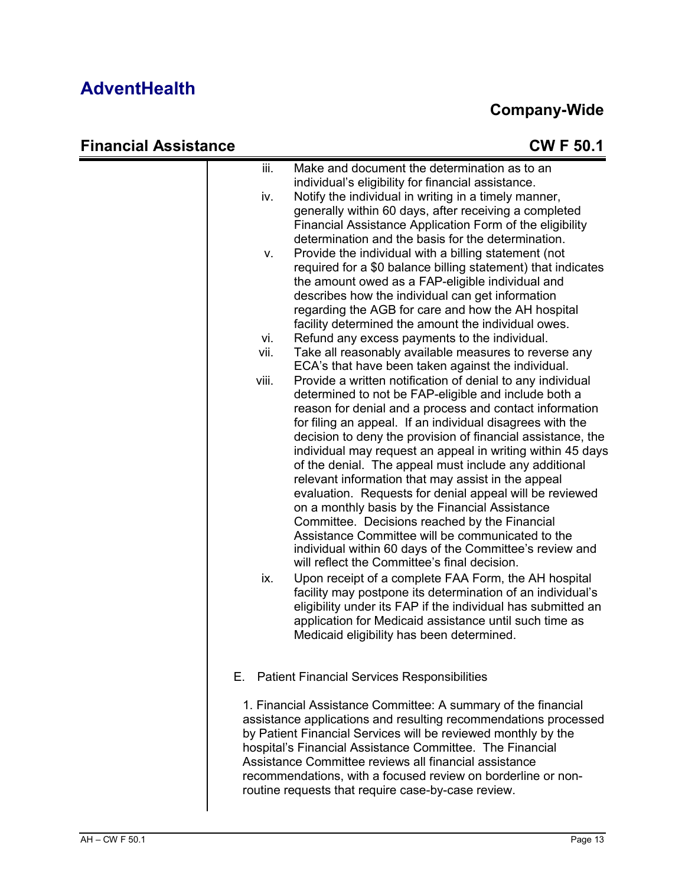| iii.  | Make and document the determination as to an<br>individual's eligibility for financial assistance.                                                                                                                                                                                                                                                                                                                                                                                                                                                                                                                                                                                                                                                                                                                  |
|-------|---------------------------------------------------------------------------------------------------------------------------------------------------------------------------------------------------------------------------------------------------------------------------------------------------------------------------------------------------------------------------------------------------------------------------------------------------------------------------------------------------------------------------------------------------------------------------------------------------------------------------------------------------------------------------------------------------------------------------------------------------------------------------------------------------------------------|
| iv.   | Notify the individual in writing in a timely manner,<br>generally within 60 days, after receiving a completed<br>Financial Assistance Application Form of the eligibility<br>determination and the basis for the determination.                                                                                                                                                                                                                                                                                                                                                                                                                                                                                                                                                                                     |
| ν.    | Provide the individual with a billing statement (not<br>required for a \$0 balance billing statement) that indicates<br>the amount owed as a FAP-eligible individual and<br>describes how the individual can get information<br>regarding the AGB for care and how the AH hospital<br>facility determined the amount the individual owes.                                                                                                                                                                                                                                                                                                                                                                                                                                                                           |
| vi.   | Refund any excess payments to the individual.                                                                                                                                                                                                                                                                                                                                                                                                                                                                                                                                                                                                                                                                                                                                                                       |
|       | Take all reasonably available measures to reverse any<br>ECA's that have been taken against the individual.                                                                                                                                                                                                                                                                                                                                                                                                                                                                                                                                                                                                                                                                                                         |
| viii. | Provide a written notification of denial to any individual<br>determined to not be FAP-eligible and include both a<br>reason for denial and a process and contact information<br>for filing an appeal. If an individual disagrees with the<br>decision to deny the provision of financial assistance, the<br>individual may request an appeal in writing within 45 days<br>of the denial. The appeal must include any additional<br>relevant information that may assist in the appeal<br>evaluation. Requests for denial appeal will be reviewed<br>on a monthly basis by the Financial Assistance<br>Committee. Decisions reached by the Financial<br>Assistance Committee will be communicated to the<br>individual within 60 days of the Committee's review and<br>will reflect the Committee's final decision. |
| ix.   | Upon receipt of a complete FAA Form, the AH hospital<br>facility may postpone its determination of an individual's<br>eligibility under its FAP if the individual has submitted an<br>application for Medicaid assistance until such time as<br>Medicaid eligibility has been determined.                                                                                                                                                                                                                                                                                                                                                                                                                                                                                                                           |
| Е.    | <b>Patient Financial Services Responsibilities</b>                                                                                                                                                                                                                                                                                                                                                                                                                                                                                                                                                                                                                                                                                                                                                                  |
|       | 1. Financial Assistance Committee: A summary of the financial<br>assistance applications and resulting recommendations processed<br>by Patient Financial Services will be reviewed monthly by the<br>hospital's Financial Assistance Committee. The Financial<br>Assistance Committee reviews all financial assistance<br>recommendations, with a focused review on borderline or non-<br>routine requests that require case-by-case review.                                                                                                                                                                                                                                                                                                                                                                        |
|       | vii.                                                                                                                                                                                                                                                                                                                                                                                                                                                                                                                                                                                                                                                                                                                                                                                                                |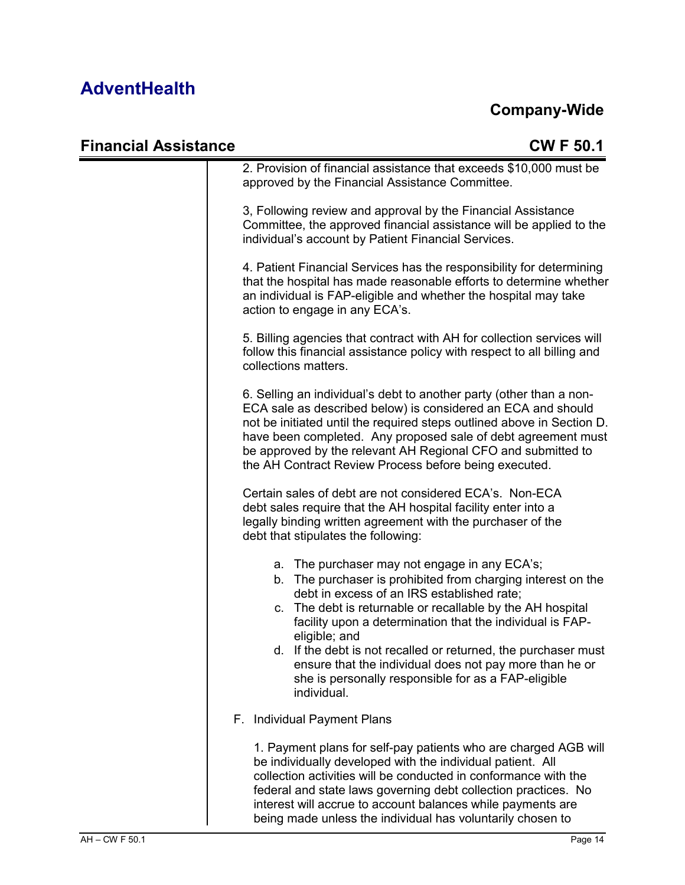| <b>Financial Assistance</b> | <b>CWF50.1</b>                                                                                                                                                                                                                                                                                                                                                                                                                                                                                             |
|-----------------------------|------------------------------------------------------------------------------------------------------------------------------------------------------------------------------------------------------------------------------------------------------------------------------------------------------------------------------------------------------------------------------------------------------------------------------------------------------------------------------------------------------------|
|                             | 2. Provision of financial assistance that exceeds \$10,000 must be<br>approved by the Financial Assistance Committee.                                                                                                                                                                                                                                                                                                                                                                                      |
|                             | 3, Following review and approval by the Financial Assistance<br>Committee, the approved financial assistance will be applied to the<br>individual's account by Patient Financial Services.                                                                                                                                                                                                                                                                                                                 |
|                             | 4. Patient Financial Services has the responsibility for determining<br>that the hospital has made reasonable efforts to determine whether<br>an individual is FAP-eligible and whether the hospital may take<br>action to engage in any ECA's.                                                                                                                                                                                                                                                            |
|                             | 5. Billing agencies that contract with AH for collection services will<br>follow this financial assistance policy with respect to all billing and<br>collections matters.                                                                                                                                                                                                                                                                                                                                  |
|                             | 6. Selling an individual's debt to another party (other than a non-<br>ECA sale as described below) is considered an ECA and should<br>not be initiated until the required steps outlined above in Section D.<br>have been completed. Any proposed sale of debt agreement must<br>be approved by the relevant AH Regional CFO and submitted to<br>the AH Contract Review Process before being executed.                                                                                                    |
|                             | Certain sales of debt are not considered ECA's. Non-ECA<br>debt sales require that the AH hospital facility enter into a<br>legally binding written agreement with the purchaser of the<br>debt that stipulates the following:                                                                                                                                                                                                                                                                             |
|                             | a. The purchaser may not engage in any ECA's;<br>b. The purchaser is prohibited from charging interest on the<br>debt in excess of an IRS established rate;<br>c. The debt is returnable or recallable by the AH hospital<br>facility upon a determination that the individual is FAP-<br>eligible; and<br>d. If the debt is not recalled or returned, the purchaser must<br>ensure that the individual does not pay more than he or<br>she is personally responsible for as a FAP-eligible<br>individual. |
|                             | Individual Payment Plans<br>F.                                                                                                                                                                                                                                                                                                                                                                                                                                                                             |
|                             | 1. Payment plans for self-pay patients who are charged AGB will<br>be individually developed with the individual patient. All<br>collection activities will be conducted in conformance with the<br>federal and state laws governing debt collection practices. No<br>interest will accrue to account balances while payments are<br>being made unless the individual has voluntarily chosen to                                                                                                            |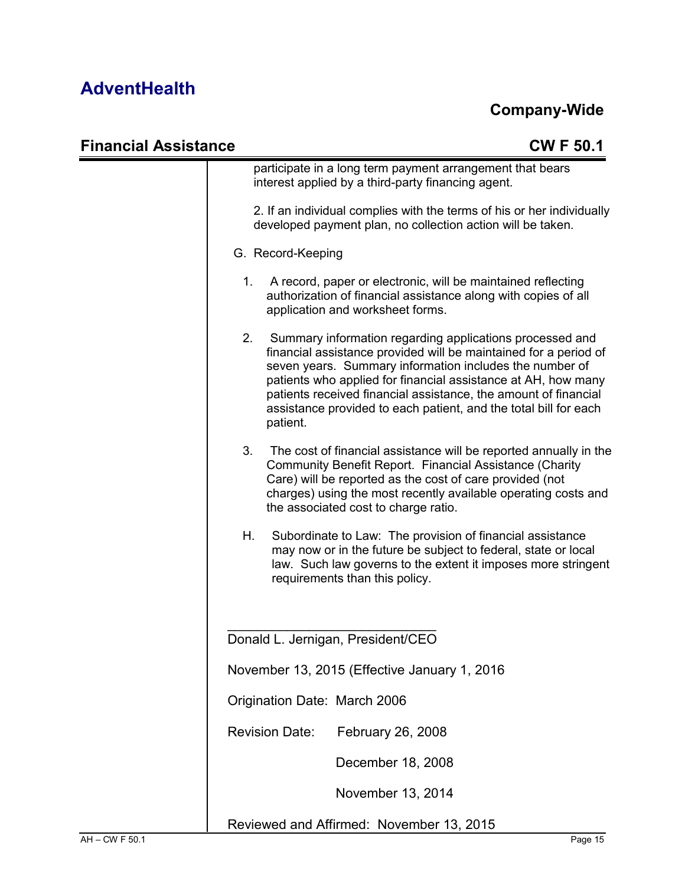#### **Company-Wide**

| <b>Financial Assistance</b> | <b>CWF50.1</b>                                                                                                                                                                                                                                                                                                                                                                                              |
|-----------------------------|-------------------------------------------------------------------------------------------------------------------------------------------------------------------------------------------------------------------------------------------------------------------------------------------------------------------------------------------------------------------------------------------------------------|
|                             | participate in a long term payment arrangement that bears<br>interest applied by a third-party financing agent.                                                                                                                                                                                                                                                                                             |
|                             | 2. If an individual complies with the terms of his or her individually<br>developed payment plan, no collection action will be taken.                                                                                                                                                                                                                                                                       |
|                             | G. Record-Keeping                                                                                                                                                                                                                                                                                                                                                                                           |
| 1.                          | A record, paper or electronic, will be maintained reflecting<br>authorization of financial assistance along with copies of all<br>application and worksheet forms.                                                                                                                                                                                                                                          |
| 2.                          | Summary information regarding applications processed and<br>financial assistance provided will be maintained for a period of<br>seven years. Summary information includes the number of<br>patients who applied for financial assistance at AH, how many<br>patients received financial assistance, the amount of financial<br>assistance provided to each patient, and the total bill for each<br>patient. |
| 3.                          | The cost of financial assistance will be reported annually in the<br>Community Benefit Report. Financial Assistance (Charity<br>Care) will be reported as the cost of care provided (not<br>charges) using the most recently available operating costs and<br>the associated cost to charge ratio.                                                                                                          |
| Η.                          | Subordinate to Law: The provision of financial assistance<br>may now or in the future be subject to federal, state or local<br>law. Such law governs to the extent it imposes more stringent<br>requirements than this policy.                                                                                                                                                                              |
|                             | Donald L. Jernigan, President/CEO                                                                                                                                                                                                                                                                                                                                                                           |
|                             | November 13, 2015 (Effective January 1, 2016)                                                                                                                                                                                                                                                                                                                                                               |
|                             | Origination Date: March 2006                                                                                                                                                                                                                                                                                                                                                                                |
|                             | <b>Revision Date:</b><br>February 26, 2008                                                                                                                                                                                                                                                                                                                                                                  |
|                             | December 18, 2008                                                                                                                                                                                                                                                                                                                                                                                           |
|                             |                                                                                                                                                                                                                                                                                                                                                                                                             |
|                             | November 13, 2014                                                                                                                                                                                                                                                                                                                                                                                           |

Reviewed and Affirmed: November 13, 2015